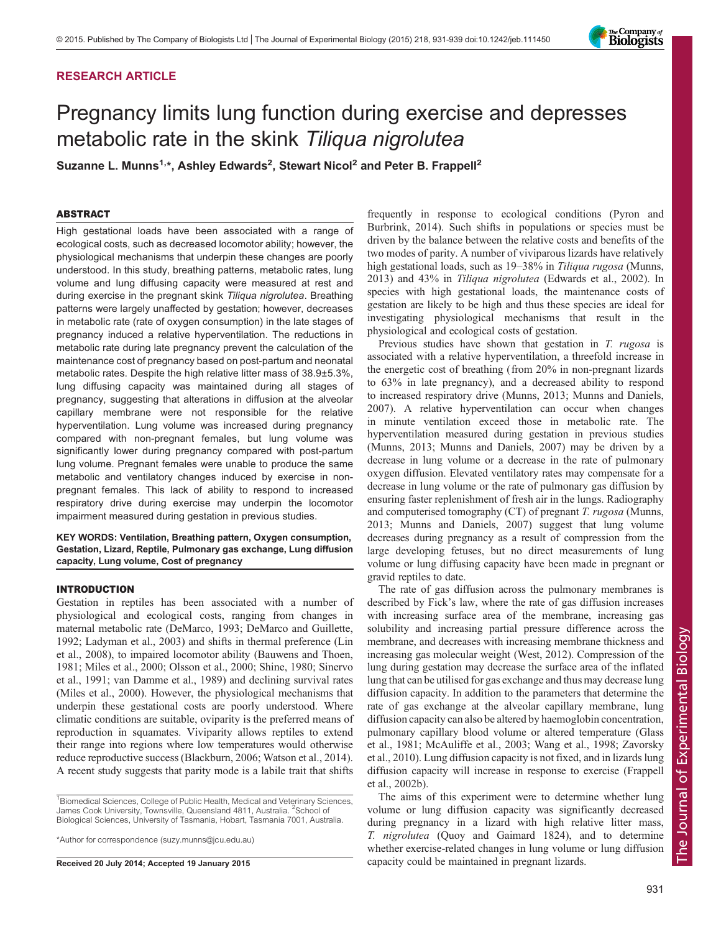# RESEARCH ARTICLE

# Pregnancy limits lung function during exercise and depresses metabolic rate in the skink Tiliqua nigrolutea

Suzanne L. Munns<sup>1,\*</sup>, Ashley Edwards<sup>2</sup>, Stewart Nicol<sup>2</sup> and Peter B. Frappell<sup>2</sup>

# ABSTRACT

High gestational loads have been associated with a range of ecological costs, such as decreased locomotor ability; however, the physiological mechanisms that underpin these changes are poorly understood. In this study, breathing patterns, metabolic rates, lung volume and lung diffusing capacity were measured at rest and during exercise in the pregnant skink Tiliqua nigrolutea. Breathing patterns were largely unaffected by gestation; however, decreases in metabolic rate (rate of oxygen consumption) in the late stages of pregnancy induced a relative hyperventilation. The reductions in metabolic rate during late pregnancy prevent the calculation of the maintenance cost of pregnancy based on post-partum and neonatal metabolic rates. Despite the high relative litter mass of 38.9±5.3%, lung diffusing capacity was maintained during all stages of pregnancy, suggesting that alterations in diffusion at the alveolar capillary membrane were not responsible for the relative hyperventilation. Lung volume was increased during pregnancy compared with non-pregnant females, but lung volume was significantly lower during pregnancy compared with post-partum lung volume. Pregnant females were unable to produce the same metabolic and ventilatory changes induced by exercise in nonpregnant females. This lack of ability to respond to increased respiratory drive during exercise may underpin the locomotor impairment measured during gestation in previous studies.

KEY WORDS: Ventilation, Breathing pattern, Oxygen consumption, Gestation, Lizard, Reptile, Pulmonary gas exchange, Lung diffusion capacity, Lung volume, Cost of pregnancy

# INTRODUCTION

Gestation in reptiles has been associated with a number of physiological and ecological costs, ranging from changes in maternal metabolic rate ([DeMarco, 1993; DeMarco and Guillette,](#page-7-0) [1992](#page-7-0); [Ladyman et al., 2003](#page-8-0)) and shifts in thermal preference ([Lin](#page-8-0) [et al., 2008\)](#page-8-0), to impaired locomotor ability ([Bauwens and Thoen,](#page-7-0) [1981](#page-7-0); [Miles et al., 2000; Olsson et al., 2000](#page-8-0); [Shine, 1980; Sinervo](#page-8-0) [et al., 1991](#page-8-0); [van Damme et al., 1989\)](#page-8-0) and declining survival rates [\(Miles et al., 2000\)](#page-8-0). However, the physiological mechanisms that underpin these gestational costs are poorly understood. Where climatic conditions are suitable, oviparity is the preferred means of reproduction in squamates. Viviparity allows reptiles to extend their range into regions where low temperatures would otherwise reduce reproductive success ([Blackburn, 2006](#page-7-0); [Watson et al., 2014\)](#page-8-0). A recent study suggests that parity mode is a labile trait that shifts

\*Author for correspondence (suzy.munns@jcu.edu.au)

frequently in response to ecological conditions ([Pyron and](#page-8-0) [Burbrink, 2014\)](#page-8-0). Such shifts in populations or species must be driven by the balance between the relative costs and benefits of the two modes of parity. A number of viviparous lizards have relatively high gestational loads, such as 19–38% in Tiliqua rugosa [\(Munns,](#page-8-0) [2013\)](#page-8-0) and 43% in Tiliqua nigrolutea [\(Edwards et al., 2002\)](#page-8-0). In species with high gestational loads, the maintenance costs of gestation are likely to be high and thus these species are ideal for investigating physiological mechanisms that result in the physiological and ecological costs of gestation.

Previous studies have shown that gestation in T. rugosa is associated with a relative hyperventilation, a threefold increase in the energetic cost of breathing (from 20% in non-pregnant lizards to 63% in late pregnancy), and a decreased ability to respond to increased respiratory drive ([Munns, 2013; Munns and Daniels,](#page-8-0) [2007\)](#page-8-0). A relative hyperventilation can occur when changes in minute ventilation exceed those in metabolic rate. The hyperventilation measured during gestation in previous studies [\(Munns, 2013](#page-8-0); [Munns and Daniels, 2007](#page-8-0)) may be driven by a decrease in lung volume or a decrease in the rate of pulmonary oxygen diffusion. Elevated ventilatory rates may compensate for a decrease in lung volume or the rate of pulmonary gas diffusion by ensuring faster replenishment of fresh air in the lungs. Radiography and computerised tomography (CT) of pregnant T. rugosa [\(Munns,](#page-8-0) [2013; Munns and Daniels, 2007\)](#page-8-0) suggest that lung volume decreases during pregnancy as a result of compression from the large developing fetuses, but no direct measurements of lung volume or lung diffusing capacity have been made in pregnant or gravid reptiles to date.

The rate of gas diffusion across the pulmonary membranes is described by Fick's law, where the rate of gas diffusion increases with increasing surface area of the membrane, increasing gas solubility and increasing partial pressure difference across the membrane, and decreases with increasing membrane thickness and increasing gas molecular weight ([West, 2012](#page-8-0)). Compression of the lung during gestation may decrease the surface area of the inflated lung that can be utilised for gas exchange and thus may decrease lung diffusion capacity. In addition to the parameters that determine the rate of gas exchange at the alveolar capillary membrane, lung diffusion capacity can also be altered by haemoglobin concentration, pulmonary capillary blood volume or altered temperature [\(Glass](#page-8-0) [et al., 1981; McAuliffe et al., 2003; Wang et al., 1998; Zavorsky](#page-8-0) [et al., 2010\)](#page-8-0). Lung diffusion capacity is not fixed, and in lizards lung diffusion capacity will increase in response to exercise ([Frappell](#page-8-0) [et al., 2002b\)](#page-8-0).

The aims of this experiment were to determine whether lung volume or lung diffusion capacity was significantly decreased during pregnancy in a lizard with high relative litter mass, T. nigrolutea (Quoy and Gaimard 1824), and to determine whether exercise-related changes in lung volume or lung diffusion Received 20 July 2014; Accepted 19 January 2015 capacity could be maintained in pregnant lizards.

The Journal of Experimental Biology

 $\overline{\sigma}$ 

Journal

.<br>Ere

Experimental

Biology



<sup>&</sup>lt;sup>1</sup> Biomedical Sciences, College of Public Health, Medical and Veterinary Sciences, James Cook University, Townsville, Queensland 4811, Australia. <sup>2</sup>School of Biological Sciences, University of Tasmania, Hobart, Tasmania 7001, Australia.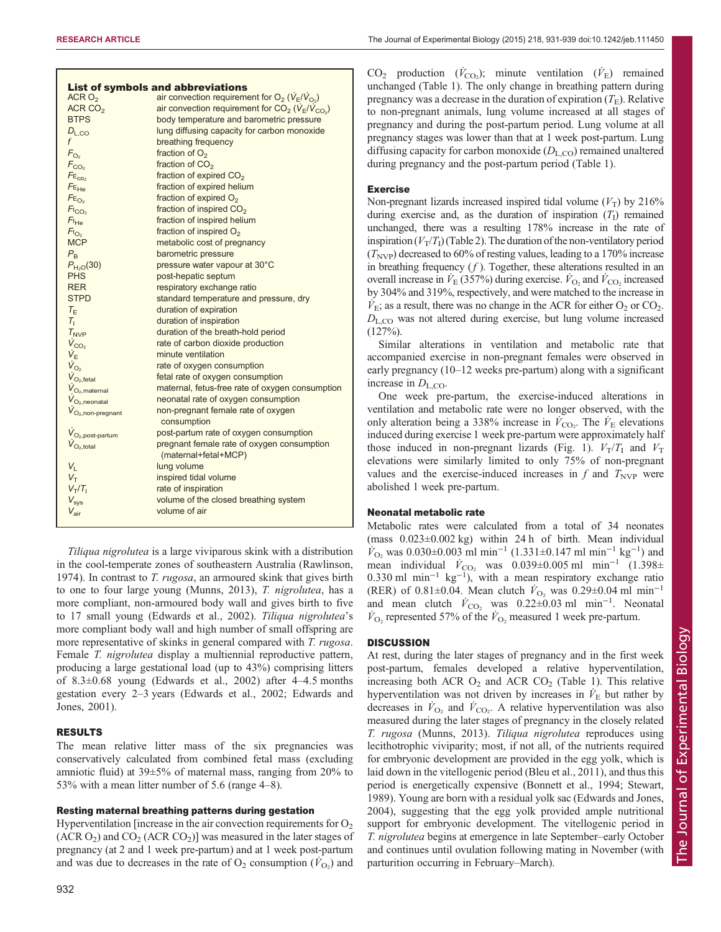| ACRO <sub>2</sub>                              | <b>List of symbols and abbreviations</b>                                                                     |
|------------------------------------------------|--------------------------------------------------------------------------------------------------------------|
| ACR $CO2$                                      | air convection requirement for $O_2$ ( $V_E/V_{O_2}$ )<br>air convection requirement for $CO2$ ( $VF/VCO2$ ) |
| <b>BTPS</b>                                    | body temperature and barometric pressure                                                                     |
|                                                |                                                                                                              |
| $D_{L,CO}$                                     | lung diffusing capacity for carbon monoxide                                                                  |
| f                                              | breathing frequency                                                                                          |
| $F_{O2}$                                       | fraction of $O2$                                                                                             |
| $F_{CO2}$                                      | fraction of CO <sub>2</sub>                                                                                  |
| FE <sub>co<sub>2</sub></sub>                   | fraction of expired CO <sub>2</sub>                                                                          |
| FE <sub>He</sub>                               | fraction of expired helium                                                                                   |
| $FE_{O2}$                                      | fraction of expired O <sub>2</sub>                                                                           |
| $F_{\text{LO}_2}$                              | fraction of inspired CO <sub>2</sub>                                                                         |
| F <sub>He</sub>                                | fraction of inspired helium                                                                                  |
| $F_{\cup_{2}}$                                 | fraction of inspired O <sub>2</sub>                                                                          |
| <b>MCP</b>                                     | metabolic cost of pregnancy                                                                                  |
| $P_{\rm R}$                                    | barometric pressure                                                                                          |
| $P_{H_2O}(30)$                                 | pressure water vapour at 30°C                                                                                |
| <b>PHS</b>                                     | post-hepatic septum                                                                                          |
| <b>RER</b>                                     | respiratory exchange ratio                                                                                   |
| <b>STPD</b>                                    | standard temperature and pressure, dry                                                                       |
| $T_F$                                          | duration of expiration                                                                                       |
| $T_{1}$                                        | duration of inspiration                                                                                      |
| $T_{\text{NVP}}$                               | duration of the breath-hold period                                                                           |
| $\dot{V}_{CO_2}$                               | rate of carbon dioxide production                                                                            |
| $\dot{V}_{E}$                                  | minute ventilation                                                                                           |
| $V_{O_2}$                                      | rate of oxygen consumption                                                                                   |
| $V_{O_2, \text{fetal}}$                        | fetal rate of oxygen consumption                                                                             |
| $V_{O_2, \text{material}}$                     | maternal, fetus-free rate of oxygen consumption                                                              |
| $V_{O_2, \text{neonatal}}$                     | neonatal rate of oxygen consumption                                                                          |
| $V_{O2,non-pregnant}$                          | non-pregnant female rate of oxygen                                                                           |
|                                                | consumption                                                                                                  |
| $\dot{V}_{\mathrm{O}_2, \mathrm{post-partum}}$ | post-partum rate of oxygen consumption                                                                       |
| $\dot{V}_{\rm O_2, total}$                     | pregnant female rate of oxygen consumption                                                                   |
|                                                | (maternal+fetal+MCP)                                                                                         |
| $V_{1}$                                        | lung volume                                                                                                  |
| $V_T$                                          | inspired tidal volume                                                                                        |
| $V_T/T_1$                                      | rate of inspiration                                                                                          |
| $V_{\rm sys}$                                  | volume of the closed breathing system                                                                        |
| $V_{\rm air}$                                  | volume of air                                                                                                |
|                                                |                                                                                                              |

Tiliqua nigrolutea is a large viviparous skink with a distribution in the cool-temperate zones of southeastern Australia [\(Rawlinson,](#page-8-0) [1974](#page-8-0)). In contrast to T. rugosa, an armoured skink that gives birth to one to four large young [\(Munns, 2013](#page-8-0)), T. nigrolutea, has a more compliant, non-armoured body wall and gives birth to five to 17 small young [\(Edwards et al., 2002](#page-8-0)). Tiliqua nigrolutea's more compliant body wall and high number of small offspring are more representative of skinks in general compared with T. rugosa. Female T. nigrolutea display a multiennial reproductive pattern, producing a large gestational load (up to 43%) comprising litters of 8.3±0.68 young [\(Edwards et al., 2002\)](#page-8-0) after 4–4.5 months gestation every 2–3 years [\(Edwards et al., 2002](#page-8-0); [Edwards and](#page-7-0) [Jones, 2001\)](#page-7-0).

# RESULTS

The mean relative litter mass of the six pregnancies was conservatively calculated from combined fetal mass (excluding amniotic fluid) at 39±5% of maternal mass, ranging from 20% to 53% with a mean litter number of 5.6 (range 4–8).

# Resting maternal breathing patterns during gestation

Hyperventilation [increase in the air convection requirements for  $O<sub>2</sub>$  $(ACR O<sub>2</sub>)$  and  $CO<sub>2</sub> (ACR CO<sub>2</sub>)$ ] was measured in the later stages of pregnancy (at 2 and 1 week pre-partum) and at 1 week post-partum and was due to decreases in the rate of  $O_2$  consumption  $(\dot{V}_{O_2})$  and

 $CO<sub>2</sub>$  production  $(\dot{V}_{CO_2})$ ; minute ventilation  $(\dot{V}_{E})$  remained unchanged ([Table 1\)](#page-2-0). The only change in breathing pattern during pregnancy was a decrease in the duration of expiration  $(T_F)$ . Relative to non-pregnant animals, lung volume increased at all stages of pregnancy and during the post-partum period. Lung volume at all pregnancy stages was lower than that at 1 week post-partum. Lung diffusing capacity for carbon monoxide  $(D_{L,CO})$  remained unaltered during pregnancy and the post-partum period [\(Table 1\)](#page-2-0).

## Exercise

Non-pregnant lizards increased inspired tidal volume  $(V_T)$  by 216% during exercise and, as the duration of inspiration  $(T<sub>I</sub>)$  remained unchanged, there was a resulting 178% increase in the rate of inspiration  $(V_T/T_I)$  ([Table 2](#page-2-0)). The duration of the non-ventilatory period  $(T_{\text{NVP}})$  decreased to 60% of resting values, leading to a 170% increase in breathing frequency  $(f)$ . Together, these alterations resulted in an overall increase in  $\dot{V}_{E}$  (357%) during exercise.  $\dot{V}_{O_2}$  and  $\dot{V}_{CO_2}$  increased by 304% and 319%, respectively, and were matched to the increase in  $\dot{V}_{\rm E}$ ; as a result, there was no change in the ACR for either O<sub>2</sub> or CO<sub>2</sub>.  $D_{\text{L,CO}}$  was not altered during exercise, but lung volume increased (127%).

Similar alterations in ventilation and metabolic rate that accompanied exercise in non-pregnant females were observed in early pregnancy (10–12 weeks pre-partum) along with a significant increase in  $D_{L,CO}$ .

One week pre-partum, the exercise-induced alterations in ventilation and metabolic rate were no longer observed, with the only alteration being a 338% increase in  $\dot{V}_{\text{CO}_2}$ . The  $\dot{V}_{\text{E}}$  elevations induced during exercise 1 week pre-partum were approximately half those induced in non-pregnant lizards ([Fig. 1\)](#page-3-0).  $V_T/T_I$  and  $V_T$ elevations were similarly limited to only 75% of non-pregnant values and the exercise-induced increases in  $f$  and  $T_{\text{NVP}}$  were abolished 1 week pre-partum.

# Neonatal metabolic rate

Metabolic rates were calculated from a total of 34 neonates (mass 0.023±0.002 kg) within 24 h of birth. Mean individual  $\dot{V}_{\text{O}_2}$  was 0.030±0.003 ml min<sup>-1</sup> (1.331±0.147 ml min<sup>-1</sup> kg<sup>-1</sup>) and mean individual  $\dot{V}_{\text{CO}_2}$  was 0.039±0.005 ml min<sup>-1</sup> (1.398± 0.330 ml min<sup>-1</sup> kg<sup>-1</sup>), with a mean respiratory exchange ratio (RER) of 0.81±0.04. Mean clutch  $\dot{V}_{\text{O}_2}$  was 0.29±0.04 ml min<sup>-1</sup> and mean clutch  $\dot{V}_{\text{CO}_2}$  was 0.22±0.03 ml min<sup>-1</sup>. Neonatal  $\dot{V}_{\text{O}_2}$  represented 57% of the  $\dot{V}_{\text{O}_2}$  measured 1 week pre-partum.

# **DISCUSSION**

At rest, during the later stages of pregnancy and in the first week post-partum, females developed a relative hyperventilation, increasing both ACR  $O_2$  and ACR  $CO_2$  ([Table 1](#page-2-0)). This relative hyperventilation was not driven by increases in  $\dot{V}_E$  but rather by decreases in  $\dot{V}_{\text{O}_2}$  and  $\dot{V}_{\text{CO}_2}$ . A relative hyperventilation was also measured during the later stages of pregnancy in the closely related T. rugosa [\(Munns, 2013](#page-8-0)). Tiliqua nigrolutea reproduces using lecithotrophic viviparity; most, if not all, of the nutrients required for embryonic development are provided in the egg yolk, which is laid down in the vitellogenic period [\(Bleu et al., 2011\)](#page-7-0), and thus this period is energetically expensive [\(Bonnett et al., 1994;](#page-7-0) [Stewart,](#page-8-0) [1989\)](#page-8-0). Young are born with a residual yolk sac [\(Edwards and Jones,](#page-7-0) [2004\)](#page-7-0), suggesting that the egg yolk provided ample nutritional support for embryonic development. The vitellogenic period in T. nigrolutea begins at emergence in late September–early October and continues until ovulation following mating in November (with parturition occurring in February–March).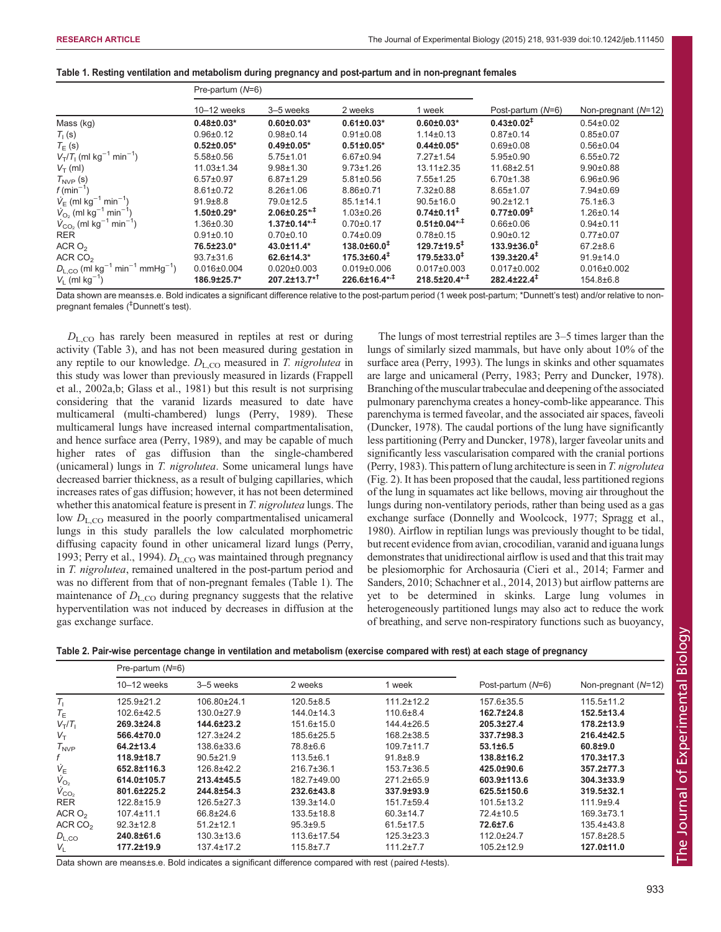<span id="page-2-0"></span>

| Table 1. Resting ventilation and metabolism during pregnancy and post-partum and in non-pregnant females |  |  |  |
|----------------------------------------------------------------------------------------------------------|--|--|--|
|----------------------------------------------------------------------------------------------------------|--|--|--|

|                                                                        | Pre-partum $(N=6)$ |                          |                             |                               |                              |                     |
|------------------------------------------------------------------------|--------------------|--------------------------|-----------------------------|-------------------------------|------------------------------|---------------------|
|                                                                        | $10-12$ weeks      | 3–5 weeks                | 2 weeks                     | 1 week                        | Post-partum (N=6)            | Non-pregnant (N=12) |
| Mass (kg)                                                              | $0.48 \pm 0.03*$   | $0.60 \pm 0.03*$         | $0.61 \pm 0.03*$            | $0.60 \pm 0.03*$              | $0.43 \pm 0.02$ <sup>‡</sup> | $0.54 \pm 0.02$     |
| $T1$ (s)                                                               | $0.96 \pm 0.12$    | $0.98 + 0.14$            | $0.91 \pm 0.08$             | $1.14 \pm 0.13$               | $0.87 \pm 0.14$              | $0.85 \pm 0.07$     |
| $T_{E}$ (s)                                                            | $0.52 \pm 0.05*$   | $0.49 \pm 0.05$ *        | $0.51 \pm 0.05$ *           | $0.44 \pm 0.05*$              | $0.69 + 0.08$                | $0.56 \pm 0.04$     |
| $V_T/T_1$ (ml kg <sup>-1</sup> min <sup>-1</sup> )                     | $5.58 \pm 0.56$    | $5.75 \pm 1.01$          | $6.67 \pm 0.94$             | $7.27 \pm 1.54$               | $5.95 \pm 0.90$              | $6.55 \pm 0.72$     |
| $V_T$ (ml)                                                             | $11.03 \pm 1.34$   | $9.98 + 1.30$            | $9.73 \pm 1.26$             | $13.11 \pm 2.35$              | $11.68 \pm 2.51$             | $9.90 + 0.88$       |
|                                                                        | $6.57 \pm 0.97$    | $6.87 \pm 1.29$          | $5.81 \pm 0.56$             | $7.55 \pm 1.25$               | $6.70 \pm 1.38$              | $6.96 \pm 0.96$     |
| $T_{\text{NVP}}$ (s)<br>$f(\text{min}^{-1})$                           | $8.61 \pm 0.72$    | $8.26 \pm 1.06$          | $8.86 \pm 0.71$             | 7.32±0.88                     | $8.65 \pm 1.07$              | 7.94±0.69           |
| $\dot{V}_{E}$ (ml kg <sup>-1</sup> min <sup>-1</sup> )                 | $91.9 \pm 8.8$     | 79.0±12.5                | $85.1 \pm 14.1$             | $90.5 \pm 16.0$               | $90.2 \pm 12.1$              | $75.1 \pm 6.3$      |
| $\dot{V}_{\text{O}_2}$ (ml kg <sup>-1</sup> min <sup>-1</sup> )        | $1.50 \pm 0.29$ *  | $2.06 \pm 0.25**$        | $1.03 \pm 0.26$             | $0.74 \pm 0.11$ <sup>+</sup>  | $0.77 \pm 0.09$ <sup>‡</sup> | $1.26 \pm 0.14$     |
| $V_{CO_2}$ (ml kg <sup>-1</sup> min <sup>-1</sup> )                    | $1.36 \pm 0.30$    | $1.37 \pm 0.14^{*,+}$    | $0.70 + 0.17$               | $0.51 \pm 0.04^{*,}$          | $0.66 \pm 0.06$              | $0.94 \pm 0.11$     |
| <b>RER</b>                                                             | $0.91 \pm 0.10$    | $0.70 \pm 0.10$          | $0.74 \pm 0.09$             | $0.78 \pm 0.15$               | $0.90+0.12$                  | $0.77 + 0.07$       |
| ACR $O2$                                                               | 76.5±23.0*         | 43.0±11.4*               | $138.0 \pm 60.0^+$          | $129.7 \pm 19.5$ <sup>‡</sup> | $133.9 \pm 36.0^+$           | $67.2 \pm 8.6$      |
| ACR $CO2$                                                              | $93.7 \pm 31.6$    | 62.6±14.3*               | $175.3 \pm 60.4^{\ddagger}$ | $179.5 \pm 33.0^{\ddagger}$   | $139.3 \pm 20.4^{\ddagger}$  | $91.9 \pm 14.0$     |
| $D_{L,CO}$ (ml kg <sup>-1</sup> min <sup>-1</sup> mmHg <sup>-1</sup> ) | $0.016 \pm 0.004$  | $0.020 \pm 0.003$        | $0.019 \pm 0.006$           | $0.017 \pm 0.003$             | $0.017 \pm 0.002$            | $0.016 \pm 0.002$   |
| $V_1$ (ml kg <sup>-1</sup> )                                           | 186.9±25.7*        | 207.2±13.7* <sup>†</sup> | $226.6 \pm 16.4^{*,1}$      | $218.5 \pm 20.4***$           | $282.4 \pm 22.4^{\ddagger}$  | 154.8±6.8           |

Data shown are means±s.e. Bold indicates a significant difference relative to the post-partum period (1 week post-partum; \*Dunnett's test) and/or relative to nonpregnant females (‡ Dunnett's test).

 $D_{\text{L,CO}}$  has rarely been measured in reptiles at rest or during activity [\(Table 3](#page-3-0)), and has not been measured during gestation in any reptile to our knowledge.  $D_{L,CO}$  measured in T. nigrolutea in this study was lower than previously measured in lizards ([Frappell](#page-8-0) [et al., 2002a,b; Glass et al., 1981\)](#page-8-0) but this result is not surprising considering that the varanid lizards measured to date have multicameral (multi-chambered) lungs ([Perry, 1989](#page-8-0)). These multicameral lungs have increased internal compartmentalisation, and hence surface area [\(Perry, 1989](#page-8-0)), and may be capable of much higher rates of gas diffusion than the single-chambered (unicameral) lungs in T. nigrolutea. Some unicameral lungs have decreased barrier thickness, as a result of bulging capillaries, which increases rates of gas diffusion; however, it has not been determined whether this anatomical feature is present in T. nigrolutea lungs. The low  $D_{L,CO}$  measured in the poorly compartmentalised unicameral lungs in this study parallels the low calculated morphometric diffusing capacity found in other unicameral lizard lungs ([Perry,](#page-8-0) [1993](#page-8-0); [Perry et al., 1994\)](#page-8-0).  $D_{L,CO}$  was maintained through pregnancy in T. nigrolutea, remained unaltered in the post-partum period and was no different from that of non-pregnant females (Table 1). The maintenance of  $D_{L,CO}$  during pregnancy suggests that the relative hyperventilation was not induced by decreases in diffusion at the gas exchange surface.

The lungs of most terrestrial reptiles are 3–5 times larger than the lungs of similarly sized mammals, but have only about 10% of the surface area [\(Perry, 1993\)](#page-8-0). The lungs in skinks and other squamates are large and unicameral [\(Perry, 1983](#page-8-0); [Perry and Duncker, 1978\)](#page-8-0). Branching of the muscular trabeculae and deepening of the associated pulmonary parenchyma creates a honey-comb-like appearance. This parenchyma is termed faveolar, and the associated air spaces, faveoli [\(Duncker, 1978\)](#page-7-0). The caudal portions of the lung have significantly less partitioning [\(Perry and Duncker, 1978](#page-8-0)), larger faveolar units and significantly less vascularisation compared with the cranial portions [\(Perry, 1983](#page-8-0)). This pattern of lung architecture is seen in T. nigrolutea [\(Fig. 2](#page-4-0)). It has been proposed that the caudal, less partitioned regions of the lung in squamates act like bellows, moving air throughout the lungs during non-ventilatory periods, rather than being used as a gas exchange surface ([Donnelly and Woolcock, 1977;](#page-7-0) [Spragg et al.,](#page-8-0) [1980\)](#page-8-0). Airflow in reptilian lungs was previously thought to be tidal, but recent evidence from avian, crocodilian, varanid and iguana lungs demonstrates that unidirectional airflow is used and that this trait may be plesiomorphic for Archosauria ([Cieri et al., 2014](#page-7-0); [Farmer and](#page-8-0) [Sanders, 2010; Schachner et al., 2014, 2013\)](#page-8-0) but airflow patterns are yet to be determined in skinks. Large lung volumes in heterogeneously partitioned lungs may also act to reduce the work of breathing, and serve non-respiratory functions such as buoyancy,

| Table 2. Pair-wise percentage change in ventilation and metabolism (exercise compared with rest) at each stage of pregnancy |  |  |  |
|-----------------------------------------------------------------------------------------------------------------------------|--|--|--|
|-----------------------------------------------------------------------------------------------------------------------------|--|--|--|

|                      | Pre-partum $(N=6)$ |                  |                  |                  |                   |                       |
|----------------------|--------------------|------------------|------------------|------------------|-------------------|-----------------------|
|                      | $10 - 12$ weeks    | 3-5 weeks        | 2 weeks          | week             | Post-partum (N=6) | Non-pregnant $(N=12)$ |
| $T_{\rm L}$          | $125.9 \pm 21.2$   | 106.80±24.1      | $120.5 \pm 8.5$  | $111.2 \pm 12.2$ | 157.6±35.5        | $115.5 \pm 11.2$      |
| $T_{\rm E}$          | 102.6±42.5         | 130.0±27.9       | 144.0±14.3       | $110.6 \pm 8.4$  | 162.7±24.8        | 152.5±13.4            |
| $V_T/T_1$            | 269.3±24.8         | 144.6±23.2       | 151.6±15.0       | $144.4 \pm 26.5$ | 205.3±27.4        | 178.2±13.9            |
| $V_T$                | 566.4±70.0         | $127.3 \pm 24.2$ | 185.6±25.5       | $168.2 \pm 38.5$ | 337.7±98.3        | 216.4±42.5            |
| $T_{\text{NVP}}$     | 64.2±13.4          | 138.6±33.6       | 78.8±6.6         | $109.7 \pm 11.7$ | $53.1 \pm 6.5$    | $60.8 + 9.0$          |
|                      | 118.9±18.7         | $90.5 \pm 21.9$  | $113.5 \pm 6.1$  | $91.8 \pm 8.9$   | 138.8±16.2        | 170.3±17.3            |
| $\dot{V}_{\text{E}}$ | 652.8±116.3        | 126.8±42.2       | $216.7 \pm 36.1$ | $153.7 \pm 36.5$ | 425.0±90.6        | 357.2±77.3            |
| $V_{\text{O}_2}$     | 614.0±105.7        | 213.4±45.5       | 182.7±49.00      | $271.2\pm 65.9$  | 603.9±113.6       | $304.3 \pm 33.9$      |
| $\dot{V}_{CO_2}$     | 801.6±225.2        | 244.8±54.3       | 232.6±43.8       | 337.9±93.9       | 625.5±150.6       | 319.5±32.1            |
| <b>RER</b>           | 122.8±15.9         | $126.5 \pm 27.3$ | $139.3 \pm 14.0$ | $151.7 \pm 59.4$ | $101.5 \pm 13.2$  | $111.9 + 9.4$         |
| ACR $O2$             | $107.4 \pm 11.1$   | 66.8±24.6        | 133.5±18.8       | $60.3 \pm 14.7$  | 72.4±10.5         | $169.3 \pm 73.1$      |
| ACR CO <sub>2</sub>  | $92.3 \pm 12.8$    | $51.2 \pm 12.1$  | $95.3 + 9.5$     | $61.5 \pm 17.5$  | 72.6±7.6          | $135.4 \pm 43.8$      |
| $D_{L,CO}$           | 240.8±61.6         | $130.3 \pm 13.6$ | 113.6±17.54      | $125.3 \pm 23.3$ | 112.0±24.7        | 157.8±28.5            |
| $V_{\perp}$          | 177.2±19.9         | $137.4 \pm 17.2$ | $115.8 \pm 7.7$  | $111.2 \pm 7.7$  | $105.2 \pm 12.9$  | 127.0±11.0            |

Data shown are means±s.e. Bold indicates a significant difference compared with rest (paired t-tests).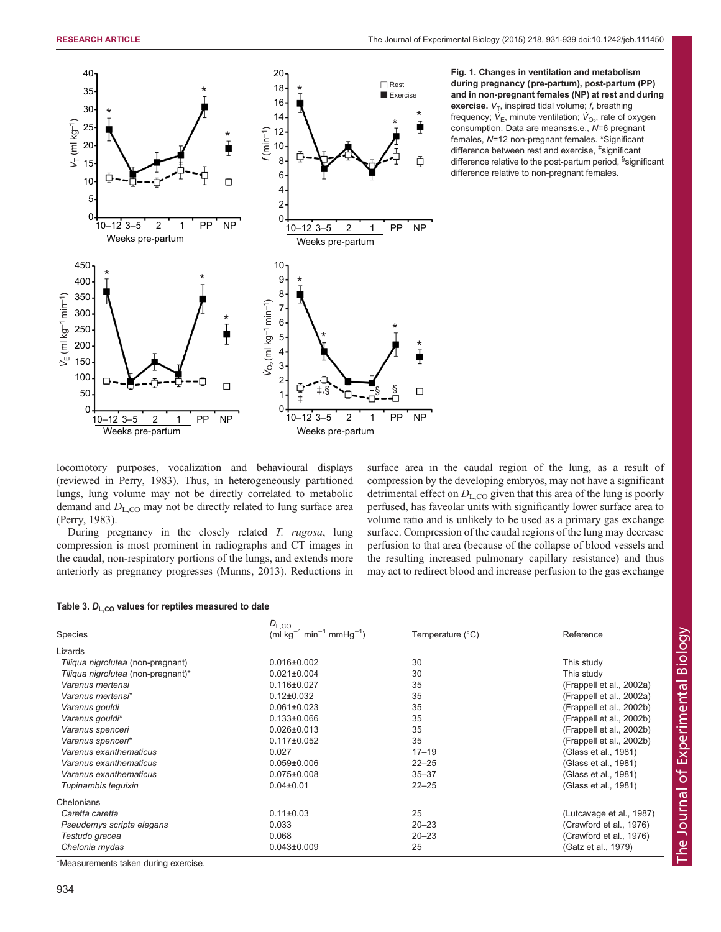<span id="page-3-0"></span>

Fig. 1. Changes in ventilation and metabolism during pregnancy (pre-partum), post-partum (PP) and in non-pregnant females (NP) at rest and during exercise.  $V_T$ , inspired tidal volume;  $f$ , breathing frequency;  $\dot{\mathsf{V}}_\mathsf{E}$ , minute ventilation;  $\dot{\mathsf{V}}_\mathrm{O_2}$ , rate of oxygen consumption. Data are means±s.e., N=6 pregnant females, N=12 non-pregnant females. \*Significant difference between rest and exercise, ‡ significant difference relative to the post-partum period, <sup>§</sup>significant difference relative to non-pregnant females.

locomotory purposes, vocalization and behavioural displays (reviewed in [Perry, 1983\)](#page-8-0). Thus, in heterogeneously partitioned lungs, lung volume may not be directly correlated to metabolic demand and  $D_{\text{L},\text{CO}}$  may not be directly related to lung surface area [\(Perry, 1983](#page-8-0)).

During pregnancy in the closely related T. rugosa, lung compression is most prominent in radiographs and CT images in the caudal, non-respiratory portions of the lungs, and extends more anteriorly as pregnancy progresses [\(Munns, 2013](#page-8-0)). Reductions in surface area in the caudal region of the lung, as a result of compression by the developing embryos, may not have a significant detrimental effect on  $D_{L,CO}$  given that this area of the lung is poorly perfused, has faveolar units with significantly lower surface area to volume ratio and is unlikely to be used as a primary gas exchange surface. Compression of the caudal regions of the lung may decrease perfusion to that area (because of the collapse of blood vessels and the resulting increased pulmonary capillary resistance) and thus may act to redirect blood and increase perfusion to the gas exchange

| Table 3. $D_{L,CO}$ values for reptiles measured to date |  |
|----------------------------------------------------------|--|
|                                                          |  |

| <b>Species</b>                     | $D_{\rm L,CO}$<br>(ml kg <sup>-1</sup> min <sup>-1</sup> mmHg <sup>-1</sup> ) | Temperature (°C) | Reference                |
|------------------------------------|-------------------------------------------------------------------------------|------------------|--------------------------|
| Lizards                            |                                                                               |                  |                          |
| Tiliqua nigrolutea (non-pregnant)  | $0.016 \pm 0.002$                                                             | 30               | This study               |
| Tiliqua nigrolutea (non-pregnant)* | $0.021 \pm 0.004$                                                             | 30               | This study               |
| Varanus mertensi                   | $0.116 \pm 0.027$                                                             | 35               | (Frappell et al., 2002a) |
| Varanus mertensi*                  | $0.12 \pm 0.032$                                                              | 35               | (Frappell et al., 2002a) |
| Varanus qouldi                     | $0.061 \pm 0.023$                                                             | 35               | (Frappell et al., 2002b) |
|                                    | $0.133 \pm 0.066$                                                             | 35               |                          |
| Varanus gouldi*                    |                                                                               | 35               | (Frappell et al., 2002b) |
| Varanus spenceri                   | $0.026 \pm 0.013$                                                             |                  | (Frappell et al., 2002b) |
| Varanus spenceri*                  | $0.117 \pm 0.052$                                                             | 35               | (Frappell et al., 2002b) |
| Varanus exanthematicus             | 0.027                                                                         | $17 - 19$        | (Glass et al., 1981)     |
| Varanus exanthematicus             | $0.059 \pm 0.006$                                                             | $22 - 25$        | (Glass et al., 1981)     |
| Varanus exanthematicus             | $0.075 \pm 0.008$                                                             | $35 - 37$        | (Glass et al., 1981)     |
| Tupinambis tequixin                | $0.04 \pm 0.01$                                                               | $22 - 25$        | (Glass et al., 1981)     |
| Chelonians                         |                                                                               |                  |                          |
| Caretta caretta                    | $0.11 \pm 0.03$                                                               | 25               | (Lutcavage et al., 1987) |
| Pseudemys scripta elegans          | 0.033                                                                         | $20 - 23$        | (Crawford et al., 1976)  |
| Testudo gracea                     | 0.068                                                                         | $20 - 23$        | (Crawford et al., 1976)  |
| Chelonia mydas                     | $0.043 \pm 0.009$                                                             | 25               | (Gatz et al., 1979)      |

\*Measurements taken during exercise.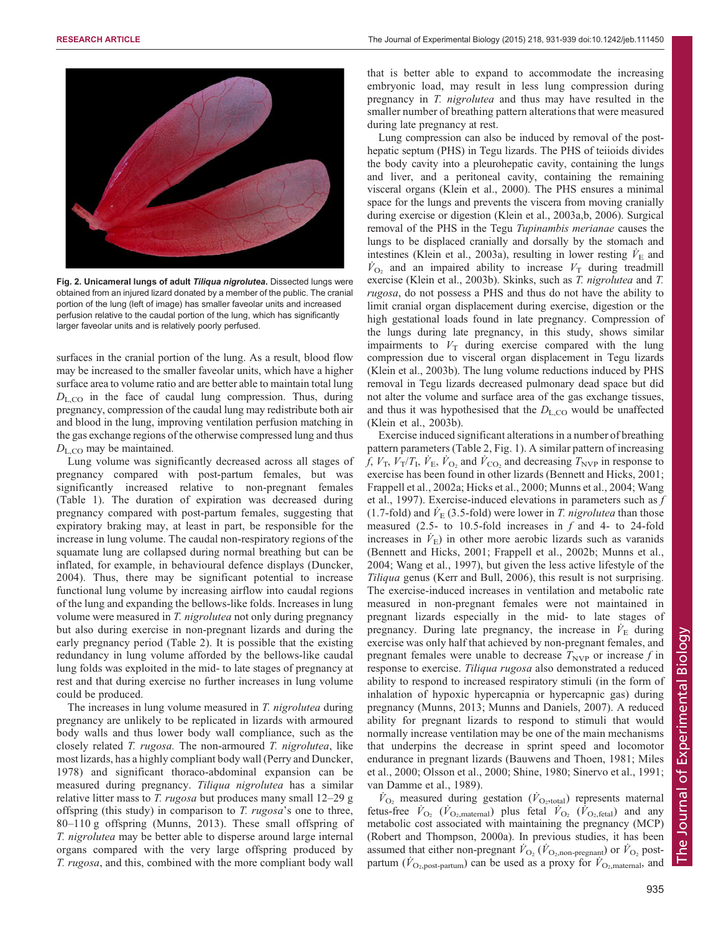<span id="page-4-0"></span>

Fig. 2. Unicameral lungs of adult Tiliqua nigrolutea. Dissected lungs were obtained from an injured lizard donated by a member of the public. The cranial portion of the lung (left of image) has smaller faveolar units and increased perfusion relative to the caudal portion of the lung, which has significantly larger faveolar units and is relatively poorly perfused.

surfaces in the cranial portion of the lung. As a result, blood flow may be increased to the smaller faveolar units, which have a higher surface area to volume ratio and are better able to maintain total lung  $D_{L,CO}$  in the face of caudal lung compression. Thus, during pregnancy, compression of the caudal lung may redistribute both air and blood in the lung, improving ventilation perfusion matching in the gas exchange regions of the otherwise compressed lung and thus  $D_{\text{L,CO}}$  may be maintained.

Lung volume was significantly decreased across all stages of pregnancy compared with post-partum females, but was significantly increased relative to non-pregnant females [\(Table 1](#page-2-0)). The duration of expiration was decreased during pregnancy compared with post-partum females, suggesting that expiratory braking may, at least in part, be responsible for the increase in lung volume. The caudal non-respiratory regions of the squamate lung are collapsed during normal breathing but can be inflated, for example, in behavioural defence displays ([Duncker,](#page-7-0) [2004](#page-7-0)). Thus, there may be significant potential to increase functional lung volume by increasing airflow into caudal regions of the lung and expanding the bellows-like folds. Increases in lung volume were measured in T. *nigrolutea* not only during pregnancy but also during exercise in non-pregnant lizards and during the early pregnancy period ([Table 2\)](#page-2-0). It is possible that the existing redundancy in lung volume afforded by the bellows-like caudal lung folds was exploited in the mid- to late stages of pregnancy at rest and that during exercise no further increases in lung volume could be produced.

The increases in lung volume measured in T. *nigrolutea* during pregnancy are unlikely to be replicated in lizards with armoured body walls and thus lower body wall compliance, such as the closely related T. rugosa. The non-armoured T. nigrolutea, like most lizards, has a highly compliant body wall ([Perry and Duncker,](#page-8-0) [1978](#page-8-0)) and significant thoraco-abdominal expansion can be measured during pregnancy. Tiliqua nigrolutea has a similar relative litter mass to T. rugosa but produces many small 12–29 g offspring (this study) in comparison to T. rugosa's one to three, 80–110 g offspring ([Munns, 2013\)](#page-8-0). These small offspring of T. nigrolutea may be better able to disperse around large internal organs compared with the very large offspring produced by T. rugosa, and this, combined with the more compliant body wall that is better able to expand to accommodate the increasing embryonic load, may result in less lung compression during pregnancy in T. nigrolutea and thus may have resulted in the smaller number of breathing pattern alterations that were measured during late pregnancy at rest.

Lung compression can also be induced by removal of the posthepatic septum (PHS) in Tegu lizards. The PHS of teiioids divides the body cavity into a pleurohepatic cavity, containing the lungs and liver, and a peritoneal cavity, containing the remaining visceral organs [\(Klein et al., 2000](#page-8-0)). The PHS ensures a minimal space for the lungs and prevents the viscera from moving cranially during exercise or digestion ([Klein et al., 2003a,b, 2006\)](#page-8-0). Surgical removal of the PHS in the Tegu Tupinambis merianae causes the lungs to be displaced cranially and dorsally by the stomach and intestines ([Klein et al., 2003a\)](#page-8-0), resulting in lower resting  $\dot{V}_E$  and  $\dot{V}_{\text{O}_2}$  and an impaired ability to increase  $V_T$  during treadmill exercise [\(Klein et al., 2003b](#page-8-0)). Skinks, such as T. nigrolutea and T. rugosa, do not possess a PHS and thus do not have the ability to limit cranial organ displacement during exercise, digestion or the high gestational loads found in late pregnancy. Compression of the lungs during late pregnancy, in this study, shows similar impairments to  $V<sub>T</sub>$  during exercise compared with the lung compression due to visceral organ displacement in Tegu lizards [\(Klein et al., 2003b\)](#page-8-0). The lung volume reductions induced by PHS removal in Tegu lizards decreased pulmonary dead space but did not alter the volume and surface area of the gas exchange tissues, and thus it was hypothesised that the  $D_{\text{L,CO}}$  would be unaffected [\(Klein et al., 2003b](#page-8-0)).

Exercise induced significant alterations in a number of breathing pattern parameters [\(Table 2,](#page-2-0) [Fig. 1\)](#page-3-0). A similar pattern of increasing f,  $V_T$ ,  $V_T/T_L$ ,  $\dot{V}_E$ ,  $\dot{V}_{O_2}$  and  $\dot{V}_{CO_2}$  and decreasing  $T_{NVP}$  in response to exercise has been found in other lizards ([Bennett and Hicks, 2001](#page-7-0); [Frappell et al., 2002a; Hicks et al., 2000](#page-8-0); [Munns et al., 2004](#page-8-0); [Wang](#page-8-0) [et al., 1997\)](#page-8-0). Exercise-induced elevations in parameters such as f (1.7-fold) and  $\dot{V}_{\rm E}$  (3.5-fold) were lower in *T. nigrolutea* than those measured (2.5- to 10.5-fold increases in f and 4- to 24-fold increases in  $\dot{V}_{\rm E}$ ) in other more aerobic lizards such as varanids [\(Bennett and Hicks, 2001;](#page-7-0) [Frappell et al., 2002b](#page-8-0); [Munns et al.,](#page-8-0) [2004](#page-8-0); [Wang et al., 1997](#page-8-0)), but given the less active lifestyle of the Tiliqua genus [\(Kerr and Bull, 2006](#page-8-0)), this result is not surprising. The exercise-induced increases in ventilation and metabolic rate measured in non-pregnant females were not maintained in pregnant lizards especially in the mid- to late stages of pregnancy. During late pregnancy, the increase in  $\dot{V}_E$  during exercise was only half that achieved by non-pregnant females, and pregnant females were unable to decrease  $T_{\text{NVP}}$  or increase f in response to exercise. Tiliqua rugosa also demonstrated a reduced ability to respond to increased respiratory stimuli (in the form of inhalation of hypoxic hypercapnia or hypercapnic gas) during pregnancy ([Munns, 2013; Munns and Daniels, 2007\)](#page-8-0). A reduced ability for pregnant lizards to respond to stimuli that would normally increase ventilation may be one of the main mechanisms that underpins the decrease in sprint speed and locomotor endurance in pregnant lizards ([Bauwens and Thoen, 1981;](#page-7-0) [Miles](#page-8-0) [et al., 2000; Olsson et al., 2000](#page-8-0); [Shine, 1980](#page-8-0); [Sinervo et al., 1991](#page-8-0); [van Damme et al., 1989\)](#page-8-0).

 $\dot{V}_{\text{O}_2}$  measured during gestation ( $\dot{V}_{\text{O}_2$ , total) represents maternal fetus-free  $\dot{V}_{\text{O}_2}$  ( $\dot{V}_{\text{O}_2, \text{material}}$ ) plus fetal  $\dot{V}_{\text{O}_2}$  ( $\dot{V}_{\text{O}_2, \text{ fetal}}$ ) and any metabolic cost associated with maintaining the pregnancy (MCP) [\(Robert and Thompson, 2000a\)](#page-8-0). In previous studies, it has been assumed that either non-pregnant  $\dot{V}_{\text{O}_2}(\dot{V}_{\text{O}_2,non-pregnant})$  or  $\dot{V}_{\text{O}_2}$  postpartum ( $\dot{V}_{\text{O}_2, \text{post-partum}}$ ) can be used as a proxy for  $\dot{V}_{\text{O}_2, \text{material}}$ , and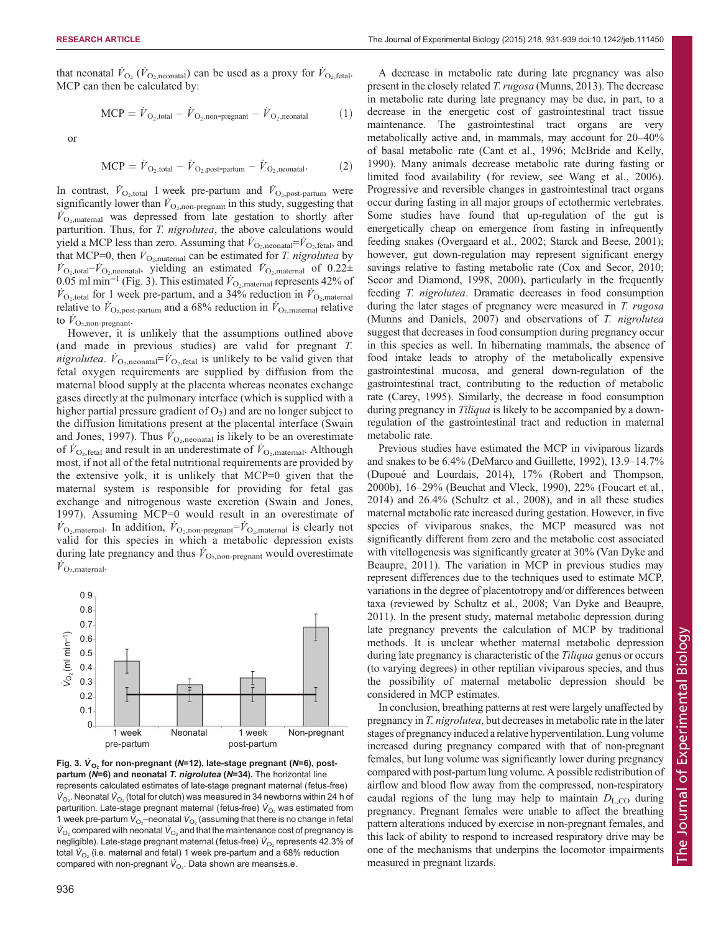that neonatal  $\dot{V}_{\text{O}_2}(\dot{V}_{\text{O}_2,\text{neonatal}})$  can be used as a proxy for  $\dot{V}_{\text{O}_2,\text{fetal}}$ . MCP can then be calculated by:

$$
MCP = \dot{V}_{\text{O}_2, total} - \dot{V}_{\text{O}_2, non-pregnant}} - \dot{V}_{\text{O}_2, no natural}
$$
 (1)

or

$$
MCP = \dot{V}_{\text{O}_2, total} - \dot{V}_{\text{O}_2, post-partum} - \dot{V}_{\text{O}_2, neonatal}. \tag{2}
$$

In contrast,  $\dot{V}_{\text{O}_2,\text{total}}$  1 week pre-partum and  $\dot{V}_{\text{O}_2,\text{post-partum}}$  were significantly lower than  $\dot{V}_{\text{O}_2, \text{non-pregnant}}$  in this study, suggesting that  $\dot{V}_{\text{O}_2,\text{material}}$  was depressed from late gestation to shortly after parturition. Thus, for T. nigrolutea, the above calculations would yield a MCP less than zero. Assuming that  $\dot{V}_{\text{O}_2,\text{neonatal}} = \dot{V}_{\text{O}_2,\text{ftal}}$ , and that MCP=0, then  $\dot{V}_{\text{O}_2,\text{material}}$  can be estimated for *T. nigrolutea* by  $\dot{V}_{\text{O}_2,\text{total}} - \dot{V}_{\text{O}_2,\text{neonatal}}$ , yielding an estimated  $\dot{V}_{\text{O}_2,\text{material}}$  of 0.22± 0.05 ml min<sup>-1</sup> (Fig. 3). This estimated  $\dot{V}_{\text{O}_2,\text{material}}$  represents 42% of  $\dot{V}_{\text{O}_2,\text{total}}$  for 1 week pre-partum, and a 34% reduction in  $\dot{V}_{\text{O}_2,\text{material}}$ relative to  $\dot{V}_{\text{O}_2, \text{post-partum}}$  and a 68% reduction in  $\dot{V}_{\text{O}_2, \text{material}}$  relative to  $\dot{V}_{\text{O}_2, \text{non-pregnant}}$ .

However, it is unlikely that the assumptions outlined above (and made in previous studies) are valid for pregnant T. nigrolutea.  $\dot{V}_{\text{O}_2,\text{neonatal}} = \dot{V}_{\text{O}_2,\text{fetal}}$  is unlikely to be valid given that fetal oxygen requirements are supplied by diffusion from the maternal blood supply at the placenta whereas neonates exchange gases directly at the pulmonary interface (which is supplied with a higher partial pressure gradient of  $O_2$ ) and are no longer subject to the diffusion limitations present at the placental interface [\(Swain](#page-8-0) [and Jones, 1997\)](#page-8-0). Thus  $\bar{V}_{\text{O}_2,\text{neonatal}}$  is likely to be an overestimate of  $\dot{V}_{\text{O}_2,\text{fetal}}$  and result in an underestimate of  $\dot{V}_{\text{O}_2,\text{material}}$ . Although most, if not all of the fetal nutritional requirements are provided by the extensive yolk, it is unlikely that MCP=0 given that the maternal system is responsible for providing for fetal gas exchange and nitrogenous waste excretion [\(Swain and Jones,](#page-8-0) [1997](#page-8-0)). Assuming MCP=0 would result in an overestimate of  $\dot{V}_{\text{O}_2,\text{material}}$ . In addition,  $\dot{V}_{\text{O}_2,\text{non-pregnant}} = \dot{V}_{\text{O}_2,\text{material}}$  is clearly not valid for this species in which a metabolic depression exists during late pregnancy and thus  $\dot{V}_{\text{O}_2, \text{non-pregnant}}$  would overestimate  $\dot{V}_{\text{O}_2,\text{material}}$ .



Fig. 3.  $V_{O_2}$  for non-pregnant (N=12), late-stage pregnant (N=6), post-<br>partum (N=6) and poopatal *T, pigrolutos* (N=34). The borizontal line partum ( $N=6$ ) and neonatal T. nigrolutea ( $N=34$ ). The horizontal line represents calculated estimates of late-stage pregnant maternal (fetus-free)  $\dot{\mathsf{V}}_{\mathsf{O}_2}$ . Neonatal  $\dot{\mathsf{V}}_{\mathsf{O}_2}$  (total for clutch) was measured in 34 newborns within 24 h of parturition. Late-stage pregnant maternal (fetus-free)  $\dot{\mathsf{V}}_\mathrm{O_2}$  was estimated from 1 week pre-partum  $\dot{\mathsf{V}}_{\mathrm{O}_2}$ –neonatal  $\dot{\mathsf{V}}_{\mathrm{O}_2}$  (assuming that there is no change in fetal  $\dot{\mathsf{V}}_\mathrm{O_2}$  compared with neonatal  $\dot{\mathsf{V}}_\mathrm{O_2}$  and that the maintenance cost of pregnancy is negligible). Late-stage pregnant maternal (fetus-free)  $\dot{V}_{\mathrm{O}_2}$  represents 42.3% of total  $\dot{\mathsf{V}}_{\mathsf{O}_2}$  (i.e. maternal and fetal) 1 week pre-partum and a 68% reduction compared with non-pregnant  $\dot{\boldsymbol{V}}_{\text{O}_2}$ . Data shown are means±s.e.

in metabolic rate during late pregnancy may be due, in part, to a decrease in the energetic cost of gastrointestinal tract tissue maintenance. The gastrointestinal tract organs are very metabolically active and, in mammals, may account for 20–40% of basal metabolic rate [\(Cant et al., 1996](#page-7-0); [McBride and Kelly,](#page-8-0) [1990\)](#page-8-0). Many animals decrease metabolic rate during fasting or limited food availability (for review, see [Wang et al., 2006\)](#page-8-0). Progressive and reversible changes in gastrointestinal tract organs occur during fasting in all major groups of ectothermic vertebrates. Some studies have found that up-regulation of the gut is energetically cheap on emergence from fasting in infrequently feeding snakes ([Overgaard et al., 2002](#page-8-0); [Starck and Beese, 2001](#page-8-0)); however, gut down-regulation may represent significant energy savings relative to fasting metabolic rate ([Cox and Secor, 2010](#page-7-0); [Secor and Diamond, 1998, 2000](#page-8-0)), particularly in the frequently feeding T. nigrolutea. Dramatic decreases in food consumption during the later stages of pregnancy were measured in T. rugosa [\(Munns and Daniels, 2007](#page-8-0)) and observations of T. nigrolutea suggest that decreases in food consumption during pregnancy occur in this species as well. In hibernating mammals, the absence of food intake leads to atrophy of the metabolically expensive gastrointestinal mucosa, and general down-regulation of the gastrointestinal tract, contributing to the reduction of metabolic rate ([Carey, 1995](#page-7-0)). Similarly, the decrease in food consumption during pregnancy in Tiliqua is likely to be accompanied by a downregulation of the gastrointestinal tract and reduction in maternal metabolic rate.

Previous studies have estimated the MCP in viviparous lizards and snakes to be 6.4% ([DeMarco and Guillette, 1992](#page-7-0)), 13.9–14.7% [\(Dupoué and Lourdais, 2014\)](#page-7-0), 17% ([Robert and Thompson,](#page-8-0) [2000b\)](#page-8-0), 16–29% ([Beuchat and Vleck, 1990](#page-7-0)), 22% [\(Foucart et al.,](#page-8-0) [2014\)](#page-8-0) and 26.4% ([Schultz et al., 2008\)](#page-8-0), and in all these studies maternal metabolic rate increased during gestation. However, in five species of viviparous snakes, the MCP measured was not significantly different from zero and the metabolic cost associated with vitellogenesis was significantly greater at 30% ([Van Dyke and](#page-8-0) [Beaupre, 2011\)](#page-8-0). The variation in MCP in previous studies may represent differences due to the techniques used to estimate MCP, variations in the degree of placentotropy and/or differences between taxa (reviewed by [Schultz et al., 2008; Van Dyke and Beaupre,](#page-8-0) [2011\)](#page-8-0). In the present study, maternal metabolic depression during late pregnancy prevents the calculation of MCP by traditional methods. It is unclear whether maternal metabolic depression during late pregnancy is characteristic of the *Tiliqua* genus or occurs (to varying degrees) in other reptilian viviparous species, and thus the possibility of maternal metabolic depression should be considered in MCP estimates.

In conclusion, breathing patterns at rest were largely unaffected by pregnancy in T. nigrolutea, but decreases in metabolic rate in the later stages of pregnancy induced a relative hyperventilation. Lung volume increased during pregnancy compared with that of non-pregnant females, but lung volume was significantly lower during pregnancy compared with post-partum lung volume. A possible redistribution of airflow and blood flow away from the compressed, non-respiratory caudal regions of the lung may help to maintain  $D_{\text{LO}}$  during pregnancy. Pregnant females were unable to affect the breathing pattern alterations induced by exercise in non-pregnant females, and this lack of ability to respond to increased respiratory drive may be one of the mechanisms that underpins the locomotor impairments measured in pregnant lizards.

A decrease in metabolic rate during late pregnancy was also present in the closely related T. rugosa ([Munns, 2013](#page-8-0)). The decrease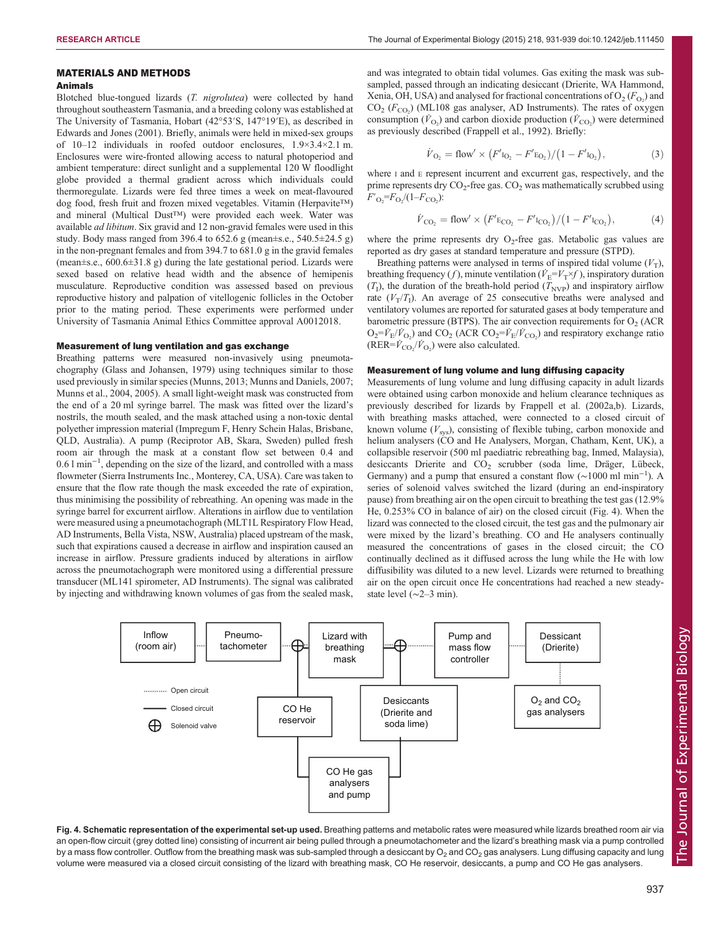### MATERIALS AND METHODS

# Animals

Blotched blue-tongued lizards (T. nigrolutea) were collected by hand throughout southeastern Tasmania, and a breeding colony was established at The University of Tasmania, Hobart (42°53′S, 147°19′E), as described in [Edwards and Jones \(2001\).](#page-7-0) Briefly, animals were held in mixed-sex groups of 10–12 individuals in roofed outdoor enclosures, 1.9×3.4×2.1 m. Enclosures were wire-fronted allowing access to natural photoperiod and ambient temperature: direct sunlight and a supplemental 120 W floodlight globe provided a thermal gradient across which individuals could thermoregulate. Lizards were fed three times a week on meat-flavoured dog food, fresh fruit and frozen mixed vegetables. Vitamin (Herpavite™) and mineral (Multical Dust™) were provided each week. Water was available ad libitum. Six gravid and 12 non-gravid females were used in this study. Body mass ranged from 396.4 to 652.6 g (mean±s.e., 540.5±24.5 g) in the non-pregnant females and from 394.7 to 681.0 g in the gravid females (mean±s.e., 600.6±31.8 g) during the late gestational period. Lizards were sexed based on relative head width and the absence of hemipenis musculature. Reproductive condition was assessed based on previous reproductive history and palpation of vitellogenic follicles in the October prior to the mating period. These experiments were performed under University of Tasmania Animal Ethics Committee approval A0012018.

#### Measurement of lung ventilation and gas exchange

Breathing patterns were measured non-invasively using pneumotachography [\(Glass and Johansen, 1979\)](#page-8-0) using techniques similar to those used previously in similar species ([Munns, 2013](#page-8-0); [Munns and Daniels, 2007;](#page-8-0) [Munns et al., 2004, 2005](#page-8-0)). A small light-weight mask was constructed from the end of a 20 ml syringe barrel. The mask was fitted over the lizard's nostrils, the mouth sealed, and the mask attached using a non-toxic dental polyether impression material (Impregum F, Henry Schein Halas, Brisbane, QLD, Australia). A pump (Reciprotor AB, Skara, Sweden) pulled fresh room air through the mask at a constant flow set between 0.4 and 0.6 l min−<sup>1</sup> , depending on the size of the lizard, and controlled with a mass flowmeter (Sierra Instruments Inc., Monterey, CA, USA). Care was taken to ensure that the flow rate though the mask exceeded the rate of expiration, thus minimising the possibility of rebreathing. An opening was made in the syringe barrel for excurrent airflow. Alterations in airflow due to ventilation were measured using a pneumotachograph (MLT1L Respiratory Flow Head, AD Instruments, Bella Vista, NSW, Australia) placed upstream of the mask, such that expirations caused a decrease in airflow and inspiration caused an increase in airflow. Pressure gradients induced by alterations in airflow across the pneumotachograph were monitored using a differential pressure transducer (ML141 spirometer, AD Instruments). The signal was calibrated by injecting and withdrawing known volumes of gas from the sealed mask,

and was integrated to obtain tidal volumes. Gas exiting the mask was subsampled, passed through an indicating desiccant (Drierite, WA Hammond, Xenia, OH, USA) and analysed for fractional concentrations of  $O_2(F_{O_2})$  and  $CO<sub>2</sub>$  ( $F<sub>CO<sub>2</sub></sub>$ ) (ML108 gas analyser, AD Instruments). The rates of oxygen consumption ( $\dot{V}_{\text{O}_2}$ ) and carbon dioxide production ( $\dot{V}_{\text{CO}_2}$ ) were determined as previously described ([Frappell et al., 1992\)](#page-8-0). Briefly:

$$
\dot{V}_{\text{O}_2} = \text{flow}' \times \left( F'_{\text{I}_{\text{O}_2}} - F'_{\text{E}_{\text{O}_2}} \right) / \left( 1 - F'_{\text{I}_{\text{O}_2}} \right),\tag{3}
$$

where I and E represent incurrent and excurrent gas, respectively, and the prime represents dry  $CO_2$ -free gas.  $CO_2$  was mathematically scrubbed using  $F'_{\rm O_2} = F_{\rm O_2} / (1 - F_{\rm CO_2})$ :

$$
\dot{V}_{\text{CO}_2} = \text{flow}' \times \left( F' \text{E}_{\text{CO}_2} - F' \text{I}_{\text{CO}_2} \right) / \left( 1 - F' \text{I}_{\text{CO}_2} \right),\tag{4}
$$

where the prime represents dry  $O_2$ -free gas. Metabolic gas values are reported as dry gases at standard temperature and pressure (STPD).

Breathing patterns were analysed in terms of inspired tidal volume  $(V_T)$ , breathing frequency (*f*), minute ventilation ( $\dot{V}_{E} = V_{T} \times f$ ), inspiratory duration  $(T<sub>I</sub>)$ , the duration of the breath-hold period  $(T<sub>NVP</sub>)$  and inspiratory airflow rate  $(V_T/T_I)$ . An average of 25 consecutive breaths were analysed and ventilatory volumes are reported for saturated gases at body temperature and barometric pressure (BTPS). The air convection requirements for  $O<sub>2</sub>$  (ACR  $O_2 = V_E/V_{O_2}$ ) and  $CO_2$  (ACR  $CO_2 = V_E/V_{CO_2}$ ) and respiratory exchange ratio  $(RER = \dot{V}_{\text{CO}_2} / \dot{V}_{\text{O}_2})$  were also calculated.

#### Measurement of lung volume and lung diffusing capacity

Measurements of lung volume and lung diffusing capacity in adult lizards were obtained using carbon monoxide and helium clearance techniques as previously described for lizards by [Frappell et al. \(2002a,b](#page-8-0)). Lizards, with breathing masks attached, were connected to a closed circuit of known volume  $(V_{sys})$ , consisting of flexible tubing, carbon monoxide and helium analysers (CO and He Analysers, Morgan, Chatham, Kent, UK), a collapsible reservoir (500 ml paediatric rebreathing bag, Inmed, Malaysia), desiccants Drierite and CO<sub>2</sub> scrubber (soda lime, Dräger, Lübeck, Germany) and a pump that ensured a constant flow ( $\sim$ 1000 ml min<sup>-1</sup>). A series of solenoid valves switched the lizard (during an end-inspiratory pause) from breathing air on the open circuit to breathing the test gas (12.9% He, 0.253% CO in balance of air) on the closed circuit (Fig. 4). When the lizard was connected to the closed circuit, the test gas and the pulmonary air were mixed by the lizard's breathing. CO and He analysers continually measured the concentrations of gases in the closed circuit; the CO continually declined as it diffused across the lung while the He with low diffusibility was diluted to a new level. Lizards were returned to breathing air on the open circuit once He concentrations had reached a new steadystate level (∼2–3 min).



Fig. 4. Schematic representation of the experimental set-up used. Breathing patterns and metabolic rates were measured while lizards breathed room air via an open-flow circuit (grey dotted line) consisting of incurrent air being pulled through a pneumotachometer and the lizard's breathing mask via a pump controlled by a mass flow controller. Outflow from the breathing mask was sub-sampled through a desiccant by  $O_2$  and  $CO_2$  gas analysers. Lung diffusing capacity and lung volume were measured via a closed circuit consisting of the lizard with breathing mask, CO He reservoir, desiccants, a pump and CO He gas analysers.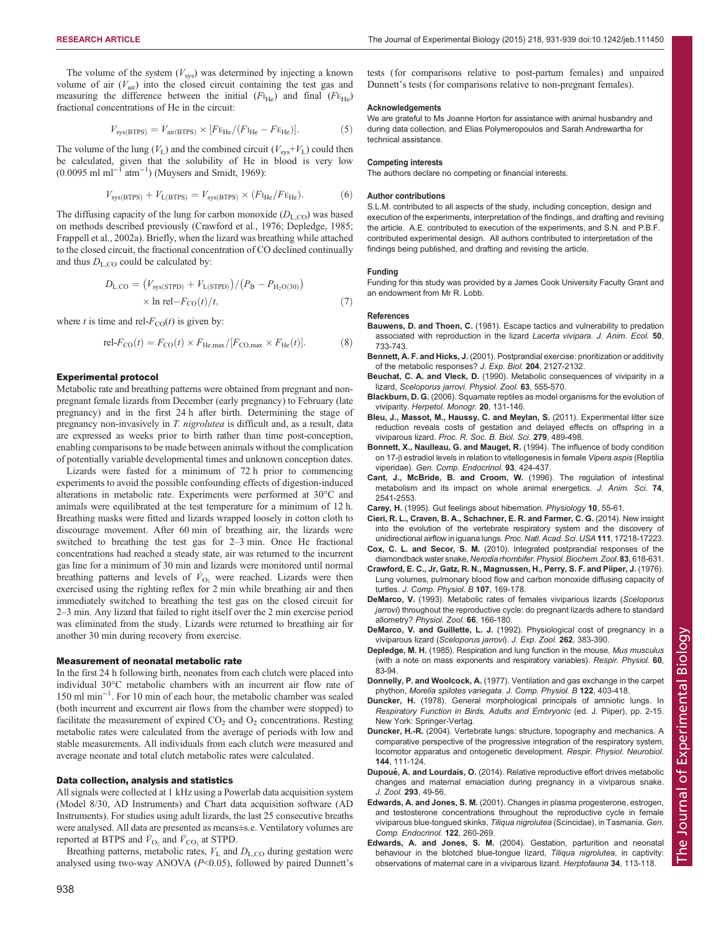<span id="page-7-0"></span>The volume of the system  $(V_{sys})$  was determined by injecting a known volume of air  $(V_{\text{air}})$  into the closed circuit containing the test gas and measuring the difference between the initial  $(F<sub>He</sub>)$  and final  $(F<sub>He</sub>)$ fractional concentrations of He in the circuit:

$$
V_{\rm sys(BTPS)} = V_{\rm air(BTPS)} \times [F_{\rm EHe}/(F_{\rm He} - F_{\rm EHe})]. \tag{5}
$$

The volume of the lung ( $V_L$ ) and the combined circuit ( $V_{sys}+V_L$ ) could then be calculated, given that the solubility of He in blood is very low  $(0.0095 \text{ ml } \text{ml}^{-1} \text{ atm}^{-1})$  ([Muysers and Smidt, 1969](#page-8-0)):

$$
V_{\rm sys(BTPS)} + V_{\rm L(BTPS)} = V_{\rm sys(BTPS)} \times (F_{\rm He}/F_{\rm EHe}). \tag{6}
$$

The diffusing capacity of the lung for carbon monoxide  $(D_{L,CO})$  was based on methods described previously (Crawford et al., 1976; Depledge, 1985; [Frappell et al., 2002a\)](#page-8-0). Briefly, when the lizard was breathing while attached to the closed circuit, the fractional concentration of CO declined continually and thus  $D_{L,CO}$  could be calculated by:

$$
D_{\text{L,CO}} = (V_{\text{sys}(\text{STPD})} + V_{\text{L}(\text{STPD})})/(P_{\text{B}} - P_{\text{H}_2\text{O}(30)})
$$
  
× ln rel- $F_{\text{CO}}(t)/t$ , (7)

where t is time and rel- $F_{CO}(t)$  is given by:

$$
\text{rel-}F_{\text{CO}}(t) = F_{\text{CO}}(t) \times F_{\text{He,max}}/[F_{\text{CO,max}} \times F_{\text{He}}(t)].\tag{8}
$$

#### Experimental protocol

Metabolic rate and breathing patterns were obtained from pregnant and nonpregnant female lizards from December (early pregnancy) to February (late pregnancy) and in the first 24 h after birth. Determining the stage of pregnancy non-invasively in T. nigrolutea is difficult and, as a result, data are expressed as weeks prior to birth rather than time post-conception, enabling comparisons to be made between animals without the complication of potentially variable developmental times and unknown conception dates.

Lizards were fasted for a minimum of 72 h prior to commencing experiments to avoid the possible confounding effects of digestion-induced alterations in metabolic rate. Experiments were performed at 30°C and animals were equilibrated at the test temperature for a minimum of 12 h. Breathing masks were fitted and lizards wrapped loosely in cotton cloth to discourage movement. After 60 min of breathing air, the lizards were switched to breathing the test gas for 2–3 min. Once He fractional concentrations had reached a steady state, air was returned to the incurrent gas line for a minimum of 30 min and lizards were monitored until normal breathing patterns and levels of  $\dot{V}_{\text{O}_2}$  were reached. Lizards were then exercised using the righting reflex for 2 min while breathing air and then immediately switched to breathing the test gas on the closed circuit for 2–3 min. Any lizard that failed to right itself over the 2 min exercise period was eliminated from the study. Lizards were returned to breathing air for another 30 min during recovery from exercise.

#### Measurement of neonatal metabolic rate

In the first 24 h following birth, neonates from each clutch were placed into individual 30°C metabolic chambers with an incurrent air flow rate of 150 ml min−<sup>1</sup> . For 10 min of each hour, the metabolic chamber was sealed (both incurrent and excurrent air flows from the chamber were stopped) to facilitate the measurement of expired  $CO<sub>2</sub>$  and  $O<sub>2</sub>$  concentrations. Resting metabolic rates were calculated from the average of periods with low and stable measurements. All individuals from each clutch were measured and average neonate and total clutch metabolic rates were calculated.

#### Data collection, analysis and statistics

All signals were collected at 1 kHz using a Powerlab data acquisition system (Model 8/30, AD Instruments) and Chart data acquisition software (AD Instruments). For studies using adult lizards, the last 25 consecutive breaths were analysed. All data are presented as means±s.e. Ventilatory volumes are reported at BTPS and  $\dot{V}_{\text{O}_2}$  and  $\dot{V}_{\text{CO}_2}$  at STPD.

Breathing patterns, metabolic rates,  $V<sub>L</sub>$  and  $D<sub>L,CO</sub>$  during gestation were analysed using two-way ANOVA  $(P< 0.05)$ , followed by paired Dunnett's

#### Acknowledgements

We are grateful to Ms Joanne Horton for assistance with animal husbandry and during data collection, and Elias Polymeropoulos and Sarah Andrewartha for technical assistance.

#### Competing interests

The authors declare no competing or financial interests.

#### Author contributions

S.L.M. contributed to all aspects of the study, including conception, design and execution of the experiments, interpretation of the findings, and drafting and revising the article. A.E. contributed to execution of the experiments, and S.N. and P.B.F. contributed experimental design. All authors contributed to interpretation of the findings being published, and drafting and revising the article.

#### Funding

Funding for this study was provided by a James Cook University Faculty Grant and an endowment from Mr R. Lobb.

#### References

- Bauwens, D. and Thoen, C. [\(1981\). Escape tactics and vulnerability to predation](http://dx.doi.org/10.2307/4133) [associated with reproduction in the lizard](http://dx.doi.org/10.2307/4133) Lacerta vivipara. J. Anim. Ecol. 50, [733-743.](http://dx.doi.org/10.2307/4133)
- Bennett, A. F. and Hicks, J. (2001). Postprandial exercise: prioritization or additivity of the metabolic responses? J. Exp. Biol. 204, 2127-2132.
- Beuchat, C. A. and Vleck, D. (1990). Metabolic consequences of viviparity in a lizard, Sceloporus jarrovi. Physiol. Zool. 63, 555-570.
- Blackburn, D. G. [\(2006\). Squamate reptiles as model organisms for the evolution of](http://dx.doi.org/10.1655/0733-1347(2007)20[131:SRAMOF]2.0.CO;2) viviparity. [Herpetol. Monogr.](http://dx.doi.org/10.1655/0733-1347(2007)20[131:SRAMOF]2.0.CO;2) 20, 131-146.
- [Bleu, J., Massot, M., Haussy, C. and Meylan, S.](http://dx.doi.org/10.1098/rspb.2011.0966) (2011). Experimental litter size [reduction reveals costs of gestation and delayed effects on offspring in a](http://dx.doi.org/10.1098/rspb.2011.0966) viviparous lizard. [Proc. R. Soc. B. Biol. Sci.](http://dx.doi.org/10.1098/rspb.2011.0966) 279, 489-498.
- [Bonnett, X., Naulleau, G. and Mauget, R.](http://dx.doi.org/10.1006/gcen.1994.1047) (1994). The influence of body condition on 17-β [estradiol levels in relation to vitellogenesis in female](http://dx.doi.org/10.1006/gcen.1994.1047) Vipera aspis (Reptilia viperidae). [Gen. Comp. Endocrinol.](http://dx.doi.org/10.1006/gcen.1994.1047) 93, 424-437.
- Cant, J., McBride, B. and Croom, W. (1996). The regulation of intestinal metabolism and its impact on whole animal energetics. J. Anim. Sci. 74, 2541-2553.
- Carey, H. (1995). Gut feelings about hibernation. Physiology 10, 55-61.
- [Cieri, R. L., Craven, B. A., Schachner, E. R. and Farmer, C. G.](http://dx.doi.org/10.1073/pnas.1405088111) (2014). New insight [into the evolution of the vertebrate respiratory system and the discovery of](http://dx.doi.org/10.1073/pnas.1405088111) [unidirectional airflow in iguana lungs.](http://dx.doi.org/10.1073/pnas.1405088111) Proc. Natl. Acad. Sci. USA 111, 17218-17223.
- Cox, C. L. and Secor, S. M. [\(2010\). Integrated postprandial responses of the](http://dx.doi.org/10.1086/648737) [diamondback water snake,](http://dx.doi.org/10.1086/648737) Nerodia rhombifer. Physiol. Biochem. Zool. 83, 618-631.
- [Crawford, E. C., Jr, Gatz, R. N., Magnussen, H., Perry, S. F. and Piiper, J.](http://dx.doi.org/10.1007/BF00691223) (1976). [Lung volumes, pulmonary blood flow and carbon monoxide diffusing capacity of](http://dx.doi.org/10.1007/BF00691223) turtles. [J. Comp. Physiol. B](http://dx.doi.org/10.1007/BF00691223) 107, 169-178.
- DeMarco, V. (1993). Metabolic rates of females viviparious lizards (Sceloporus jarrovi) throughout the reproductive cycle: do pregnant lizards adhere to standard allometry? Physiol. Zool. 66, 166-180.
- DeMarco, V. and Guillette, L. J. [\(1992\). Physiological cost of pregnancy in a](http://dx.doi.org/10.1002/jez.1402620404) viviparous lizard ([Sceloporus jarrovi](http://dx.doi.org/10.1002/jez.1402620404)). J. Exp. Zool. 262, 383-390.
- Depledge, M. H. [\(1985\). Respiration and lung function in the mouse,](http://dx.doi.org/10.1016/0034-5687(85)90041-6) Mus musculus [\(with a note on mass exponents and respiratory variables\).](http://dx.doi.org/10.1016/0034-5687(85)90041-6) Respir. Physiol. 60, [83-94.](http://dx.doi.org/10.1016/0034-5687(85)90041-6)
- Donnelly, P. and Woolcock, A. [\(1977\). Ventilation and gas exchange in the carpet](http://dx.doi.org/10.1007/BF00692525) phython, [Morelia spilotes variegata](http://dx.doi.org/10.1007/BF00692525). J. Comp. Physiol. B 122, 403-418.
- Duncker, H. (1978). General morphological principals of amniotic lungs. In Respiratory Function in Birds, Adults and Embryonic (ed. J. Piiper), pp. 2-15. New York: Springer-Verlag.
- Duncker, H.-R. [\(2004\). Vertebrate lungs: structure, topography and mechanics. A](http://dx.doi.org/10.1016/j.resp.2004.07.020) [comparative perspective of the progressive integration of the respiratory system,](http://dx.doi.org/10.1016/j.resp.2004.07.020) [locomotor apparatus and ontogenetic development.](http://dx.doi.org/10.1016/j.resp.2004.07.020) Respir. Physiol. Neurobiol. 144[, 111-124.](http://dx.doi.org/10.1016/j.resp.2004.07.020)
- Dupoué, A. and Lourdais, O. [\(2014\). Relative reproductive effort drives metabolic](http://dx.doi.org/10.1111/jzo.12116) [changes and maternal emaciation during pregnancy in a viviparous snake.](http://dx.doi.org/10.1111/jzo.12116) J. Zool. 293[, 49-56.](http://dx.doi.org/10.1111/jzo.12116)
- Edwards, A. and Jones, S. M. [\(2001\). Changes in plasma progesterone, estrogen,](http://dx.doi.org/10.1006/gcen.2001.7634) [and testosterone concentrations throughout the reproductive cycle in female](http://dx.doi.org/10.1006/gcen.2001.7634) [viviparous blue-tongued skinks,](http://dx.doi.org/10.1006/gcen.2001.7634) Tiliqua nigrolutea (Scincidae), in Tasmania. Gen. [Comp. Endocrinol.](http://dx.doi.org/10.1006/gcen.2001.7634) 122, 260-269.
- Edwards, A. and Jones, S. M. (2004). Gestation, parturition and neonatal behaviour in the blotched blue-tongue lizard, Tiliqua nigrolutea, in captivity: observations of maternal care in a viviparous lizard. Herptofauna 34, 113-118.